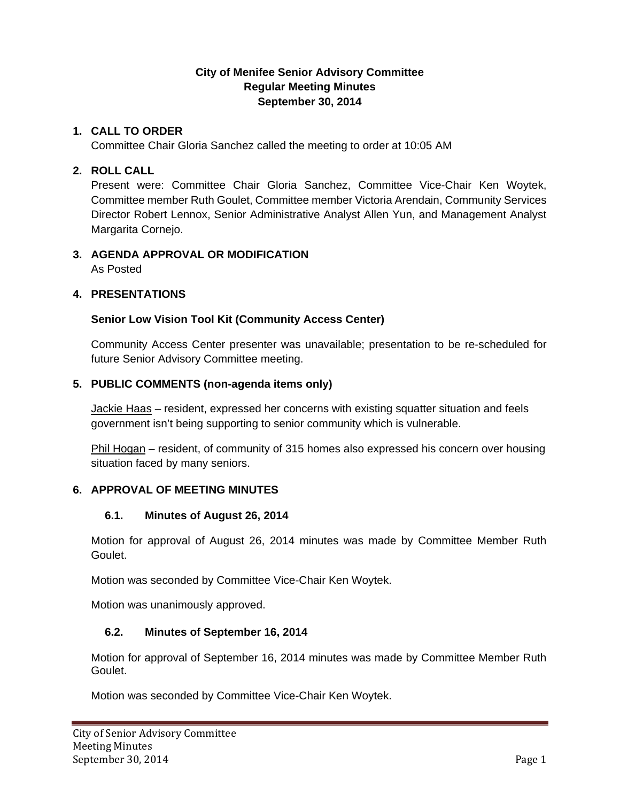#### **City of Menifee Senior Advisory Committee Regular Meeting Minutes September 30, 2014**

#### **1. CALL TO ORDER**

Committee Chair Gloria Sanchez called the meeting to order at 10:05 AM

#### **2. ROLL CALL**

Present were: Committee Chair Gloria Sanchez, Committee Vice-Chair Ken Woytek, Committee member Ruth Goulet, Committee member Victoria Arendain, Community Services Director Robert Lennox, Senior Administrative Analyst Allen Yun, and Management Analyst Margarita Cornejo.

# **3. AGENDA APPROVAL OR MODIFICATION**

As Posted

# **4. PRESENTATIONS**

# **Senior Low Vision Tool Kit (Community Access Center)**

Community Access Center presenter was unavailable; presentation to be re-scheduled for future Senior Advisory Committee meeting.

# **5. PUBLIC COMMENTS (non-agenda items only)**

Jackie Haas – resident, expressed her concerns with existing squatter situation and feels government isn't being supporting to senior community which is vulnerable.

Phil Hogan – resident, of community of 315 homes also expressed his concern over housing situation faced by many seniors.

# **6. APPROVAL OF MEETING MINUTES**

# **6.1. Minutes of August 26, 2014**

Motion for approval of August 26, 2014 minutes was made by Committee Member Ruth Goulet.

Motion was seconded by Committee Vice-Chair Ken Woytek.

Motion was unanimously approved.

# **6.2. Minutes of September 16, 2014**

Motion for approval of September 16, 2014 minutes was made by Committee Member Ruth Goulet.

Motion was seconded by Committee Vice-Chair Ken Woytek.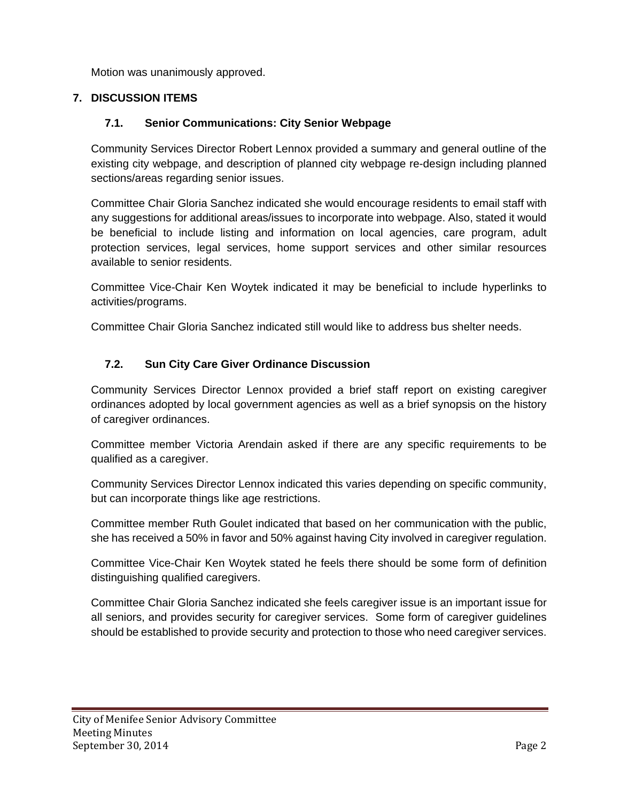Motion was unanimously approved.

# **7. DISCUSSION ITEMS**

# **7.1. Senior Communications: City Senior Webpage**

Community Services Director Robert Lennox provided a summary and general outline of the existing city webpage, and description of planned city webpage re-design including planned sections/areas regarding senior issues.

Committee Chair Gloria Sanchez indicated she would encourage residents to email staff with any suggestions for additional areas/issues to incorporate into webpage. Also, stated it would be beneficial to include listing and information on local agencies, care program, adult protection services, legal services, home support services and other similar resources available to senior residents.

Committee Vice-Chair Ken Woytek indicated it may be beneficial to include hyperlinks to activities/programs.

Committee Chair Gloria Sanchez indicated still would like to address bus shelter needs.

# **7.2. Sun City Care Giver Ordinance Discussion**

Community Services Director Lennox provided a brief staff report on existing caregiver ordinances adopted by local government agencies as well as a brief synopsis on the history of caregiver ordinances.

Committee member Victoria Arendain asked if there are any specific requirements to be qualified as a caregiver.

Community Services Director Lennox indicated this varies depending on specific community, but can incorporate things like age restrictions.

Committee member Ruth Goulet indicated that based on her communication with the public, she has received a 50% in favor and 50% against having City involved in caregiver regulation.

Committee Vice-Chair Ken Woytek stated he feels there should be some form of definition distinguishing qualified caregivers.

Committee Chair Gloria Sanchez indicated she feels caregiver issue is an important issue for all seniors, and provides security for caregiver services. Some form of caregiver guidelines should be established to provide security and protection to those who need caregiver services.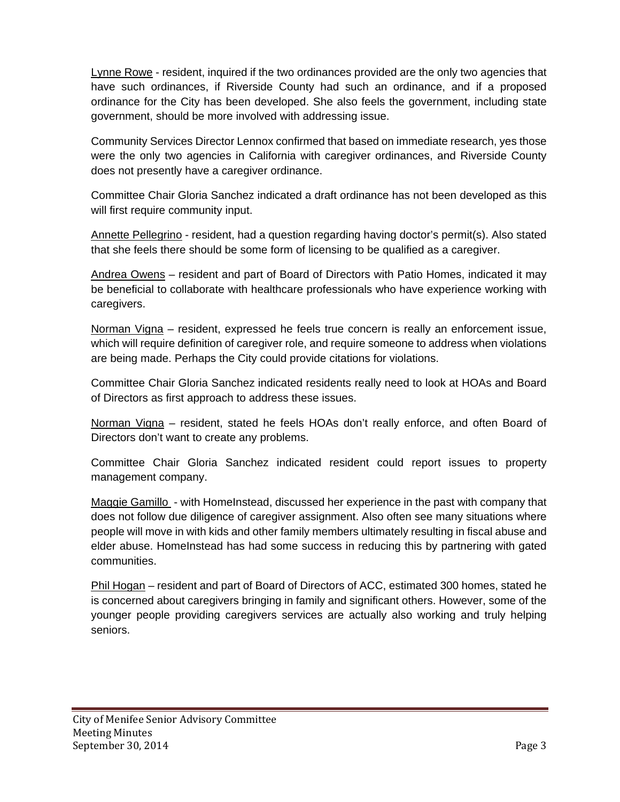Lynne Rowe - resident, inquired if the two ordinances provided are the only two agencies that have such ordinances, if Riverside County had such an ordinance, and if a proposed ordinance for the City has been developed. She also feels the government, including state government, should be more involved with addressing issue.

Community Services Director Lennox confirmed that based on immediate research, yes those were the only two agencies in California with caregiver ordinances, and Riverside County does not presently have a caregiver ordinance.

Committee Chair Gloria Sanchez indicated a draft ordinance has not been developed as this will first require community input.

Annette Pellegrino - resident, had a question regarding having doctor's permit(s). Also stated that she feels there should be some form of licensing to be qualified as a caregiver.

Andrea Owens – resident and part of Board of Directors with Patio Homes, indicated it may be beneficial to collaborate with healthcare professionals who have experience working with caregivers.

Norman Vigna – resident, expressed he feels true concern is really an enforcement issue, which will require definition of caregiver role, and require someone to address when violations are being made. Perhaps the City could provide citations for violations.

Committee Chair Gloria Sanchez indicated residents really need to look at HOAs and Board of Directors as first approach to address these issues.

Norman Vigna - resident, stated he feels HOAs don't really enforce, and often Board of Directors don't want to create any problems.

Committee Chair Gloria Sanchez indicated resident could report issues to property management company.

Maggie Gamillo - with HomeInstead, discussed her experience in the past with company that does not follow due diligence of caregiver assignment. Also often see many situations where people will move in with kids and other family members ultimately resulting in fiscal abuse and elder abuse. HomeInstead has had some success in reducing this by partnering with gated communities.

Phil Hogan – resident and part of Board of Directors of ACC, estimated 300 homes, stated he is concerned about caregivers bringing in family and significant others. However, some of the younger people providing caregivers services are actually also working and truly helping seniors.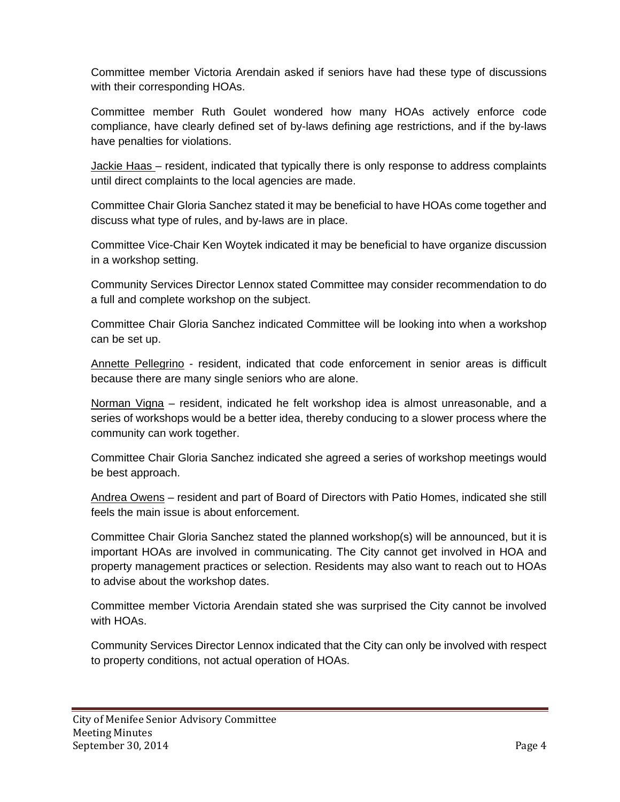Committee member Victoria Arendain asked if seniors have had these type of discussions with their corresponding HOAs.

Committee member Ruth Goulet wondered how many HOAs actively enforce code compliance, have clearly defined set of by-laws defining age restrictions, and if the by-laws have penalties for violations.

Jackie Haas - resident, indicated that typically there is only response to address complaints until direct complaints to the local agencies are made.

Committee Chair Gloria Sanchez stated it may be beneficial to have HOAs come together and discuss what type of rules, and by-laws are in place.

Committee Vice-Chair Ken Woytek indicated it may be beneficial to have organize discussion in a workshop setting.

Community Services Director Lennox stated Committee may consider recommendation to do a full and complete workshop on the subject.

Committee Chair Gloria Sanchez indicated Committee will be looking into when a workshop can be set up.

Annette Pellegrino - resident, indicated that code enforcement in senior areas is difficult because there are many single seniors who are alone.

Norman Vigna – resident, indicated he felt workshop idea is almost unreasonable, and a series of workshops would be a better idea, thereby conducing to a slower process where the community can work together.

Committee Chair Gloria Sanchez indicated she agreed a series of workshop meetings would be best approach.

Andrea Owens – resident and part of Board of Directors with Patio Homes, indicated she still feels the main issue is about enforcement.

Committee Chair Gloria Sanchez stated the planned workshop(s) will be announced, but it is important HOAs are involved in communicating. The City cannot get involved in HOA and property management practices or selection. Residents may also want to reach out to HOAs to advise about the workshop dates.

Committee member Victoria Arendain stated she was surprised the City cannot be involved with HOAs.

Community Services Director Lennox indicated that the City can only be involved with respect to property conditions, not actual operation of HOAs.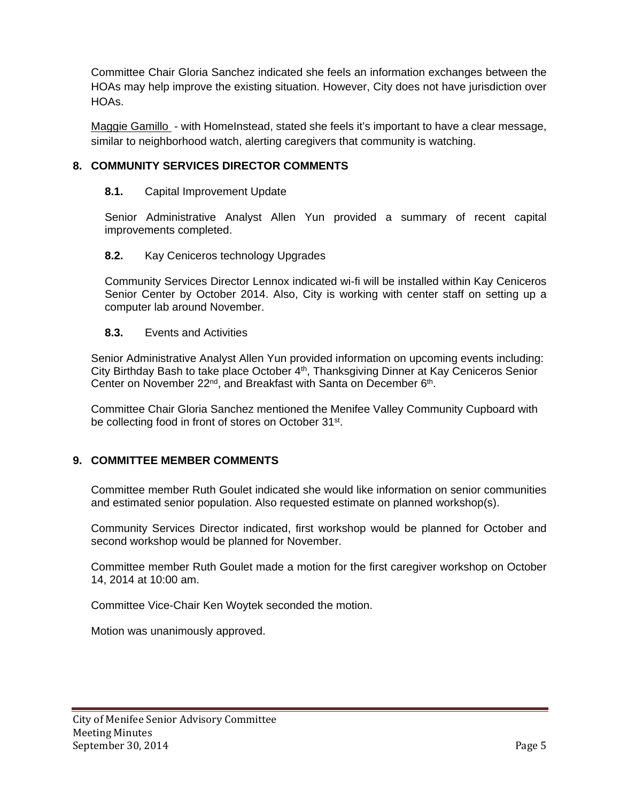Committee Chair Gloria Sanchez indicated she feels an information exchanges between the HOAs may help improve the existing situation. However, City does not have jurisdiction over HOAs.

Maggie Gamillo - with HomeInstead, stated she feels it's important to have a clear message, similar to neighborhood watch, alerting caregivers that community is watching.

# **8. COMMUNITY SERVICES DIRECTOR COMMENTS**

#### **8.1.** Capital Improvement Update

Senior Administrative Analyst Allen Yun provided a summary of recent capital improvements completed.

#### **8.2.** Kay Ceniceros technology Upgrades

Community Services Director Lennox indicated wi-fi will be installed within Kay Ceniceros Senior Center by October 2014. Also, City is working with center staff on setting up a computer lab around November.

#### **8.3.** Events and Activities

Senior Administrative Analyst Allen Yun provided information on upcoming events including: City Birthday Bash to take place October 4<sup>th</sup>, Thanksgiving Dinner at Kay Ceniceros Senior Center on November 22<sup>nd</sup>, and Breakfast with Santa on December 6<sup>th</sup>.

Committee Chair Gloria Sanchez mentioned the Menifee Valley Community Cupboard with be collecting food in front of stores on October 31<sup>st</sup>.

#### **9. COMMITTEE MEMBER COMMENTS**

Committee member Ruth Goulet indicated she would like information on senior communities and estimated senior population. Also requested estimate on planned workshop(s).

Community Services Director indicated, first workshop would be planned for October and second workshop would be planned for November.

Committee member Ruth Goulet made a motion for the first caregiver workshop on October 14, 2014 at 10:00 am.

Committee Vice-Chair Ken Woytek seconded the motion.

Motion was unanimously approved.